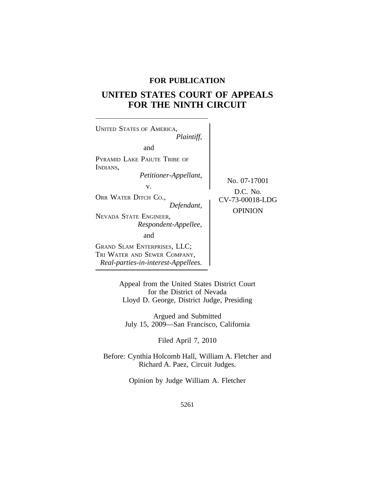### **FOR PUBLICATION**

# **UNITED STATES COURT OF APPEALS FOR THE NINTH CIRCUIT**



Appeal from the United States District Court for the District of Nevada Lloyd D. George, District Judge, Presiding

Argued and Submitted July 15, 2009—San Francisco, California

Filed April 7, 2010

Before: Cynthia Holcomb Hall, William A. Fletcher and Richard A. Paez, Circuit Judges.

Opinion by Judge William A. Fletcher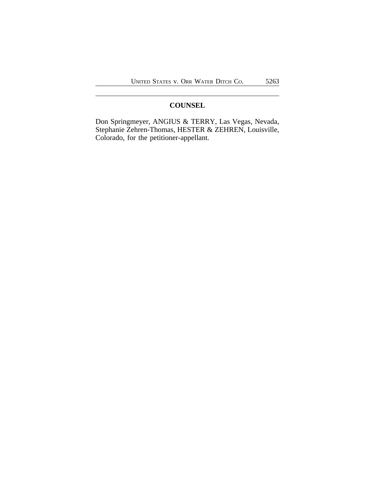## **COUNSEL**

Don Springmeyer, ANGIUS & TERRY, Las Vegas, Nevada, Stephanie Zehren-Thomas, HESTER & ZEHREN, Louisville, Colorado, for the petitioner-appellant.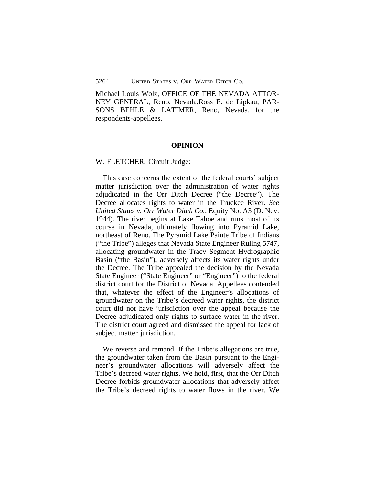Michael Louis Wolz, OFFICE OF THE NEVADA ATTOR-NEY GENERAL, Reno, Nevada,Ross E. de Lipkau, PAR-SONS BEHLE & LATIMER, Reno, Nevada, for the respondents-appellees.

#### **OPINION**

W. FLETCHER, Circuit Judge:

This case concerns the extent of the federal courts' subject matter jurisdiction over the administration of water rights adjudicated in the Orr Ditch Decree ("the Decree"). The Decree allocates rights to water in the Truckee River. *See United States v. Orr Water Ditch Co.*, Equity No. A3 (D. Nev. 1944). The river begins at Lake Tahoe and runs most of its course in Nevada, ultimately flowing into Pyramid Lake, northeast of Reno. The Pyramid Lake Paiute Tribe of Indians ("the Tribe") alleges that Nevada State Engineer Ruling 5747, allocating groundwater in the Tracy Segment Hydrographic Basin ("the Basin"), adversely affects its water rights under the Decree. The Tribe appealed the decision by the Nevada State Engineer ("State Engineer" or "Engineer") to the federal district court for the District of Nevada. Appellees contended that, whatever the effect of the Engineer's allocations of groundwater on the Tribe's decreed water rights, the district court did not have jurisdiction over the appeal because the Decree adjudicated only rights to surface water in the river. The district court agreed and dismissed the appeal for lack of subject matter jurisdiction.

We reverse and remand. If the Tribe's allegations are true, the groundwater taken from the Basin pursuant to the Engineer's groundwater allocations will adversely affect the Tribe's decreed water rights. We hold, first, that the Orr Ditch Decree forbids groundwater allocations that adversely affect the Tribe's decreed rights to water flows in the river. We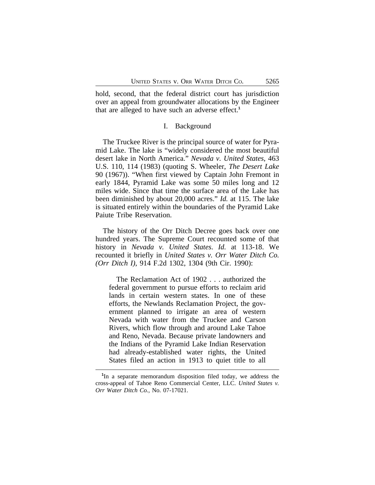hold, second, that the federal district court has jurisdiction over an appeal from groundwater allocations by the Engineer that are alleged to have such an adverse effect.**<sup>1</sup>**

#### I. Background

The Truckee River is the principal source of water for Pyramid Lake. The lake is "widely considered the most beautiful desert lake in North America." *Nevada v. United States*, 463 U.S. 110, 114 (1983) (quoting S. Wheeler, *The Desert Lake* 90 (1967)). "When first viewed by Captain John Fremont in early 1844, Pyramid Lake was some 50 miles long and 12 miles wide. Since that time the surface area of the Lake has been diminished by about 20,000 acres." *Id.* at 115. The lake is situated entirely within the boundaries of the Pyramid Lake Paiute Tribe Reservation.

The history of the Orr Ditch Decree goes back over one hundred years. The Supreme Court recounted some of that history in *Nevada v. United States*. *Id.* at 113-18. We recounted it briefly in *United States v. Orr Water Ditch Co. (Orr Ditch I)*, 914 F.2d 1302, 1304 (9th Cir. 1990):

The Reclamation Act of 1902 . . . authorized the federal government to pursue efforts to reclaim arid lands in certain western states. In one of these efforts, the Newlands Reclamation Project, the government planned to irrigate an area of western Nevada with water from the Truckee and Carson Rivers, which flow through and around Lake Tahoe and Reno, Nevada. Because private landowners and the Indians of the Pyramid Lake Indian Reservation had already-established water rights, the United States filed an action in 1913 to quiet title to all

**<sup>1</sup>** In a separate memorandum disposition filed today, we address the cross-appeal of Tahoe Reno Commercial Center, LLC. *United States v. Orr Water Ditch Co.*, No. 07-17021.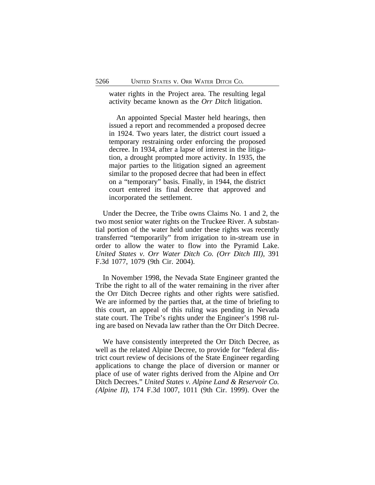water rights in the Project area. The resulting legal activity became known as the *Orr Ditch* litigation.

An appointed Special Master held hearings, then issued a report and recommended a proposed decree in 1924. Two years later, the district court issued a temporary restraining order enforcing the proposed decree. In 1934, after a lapse of interest in the litigation, a drought prompted more activity. In 1935, the major parties to the litigation signed an agreement similar to the proposed decree that had been in effect on a "temporary" basis. Finally, in 1944, the district court entered its final decree that approved and incorporated the settlement.

Under the Decree, the Tribe owns Claims No. 1 and 2, the two most senior water rights on the Truckee River. A substantial portion of the water held under these rights was recently transferred "temporarily" from irrigation to in-stream use in order to allow the water to flow into the Pyramid Lake. *United States v. Orr Water Ditch Co. (Orr Ditch III)*, 391 F.3d 1077, 1079 (9th Cir. 2004).

In November 1998, the Nevada State Engineer granted the Tribe the right to all of the water remaining in the river after the Orr Ditch Decree rights and other rights were satisfied. We are informed by the parties that, at the time of briefing to this court, an appeal of this ruling was pending in Nevada state court. The Tribe's rights under the Engineer's 1998 ruling are based on Nevada law rather than the Orr Ditch Decree.

We have consistently interpreted the Orr Ditch Decree, as well as the related Alpine Decree, to provide for "federal district court review of decisions of the State Engineer regarding applications to change the place of diversion or manner or place of use of water rights derived from the Alpine and Orr Ditch Decrees." *United States v. Alpine Land & Reservoir Co. (Alpine II)*, 174 F.3d 1007, 1011 (9th Cir. 1999). Over the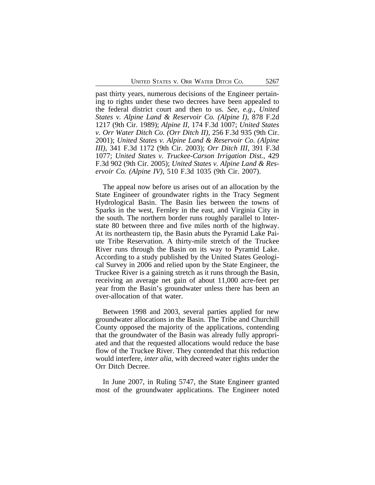past thirty years, numerous decisions of the Engineer pertaining to rights under these two decrees have been appealed to the federal district court and then to us. *See, e.g.*, *United States v. Alpine Land & Reservoir Co. (Alpine I)*, 878 F.2d 1217 (9th Cir. 1989); *Alpine II*, 174 F.3d 1007; *United States v. Orr Water Ditch Co. (Orr Ditch II)*, 256 F.3d 935 (9th Cir. 2001); *United States v. Alpine Land & Reservoir Co. (Alpine III)*, 341 F.3d 1172 (9th Cir. 2003); *Orr Ditch III*, 391 F.3d 1077; *United States v. Truckee-Carson Irrigation Dist.*, 429 F.3d 902 (9th Cir. 2005); *United States v. Alpine Land & Reservoir Co. (Alpine IV)*, 510 F.3d 1035 (9th Cir. 2007).

The appeal now before us arises out of an allocation by the State Engineer of groundwater rights in the Tracy Segment Hydrological Basin. The Basin lies between the towns of Sparks in the west, Fernley in the east, and Virginia City in the south. The northern border runs roughly parallel to Interstate 80 between three and five miles north of the highway. At its northeastern tip, the Basin abuts the Pyramid Lake Paiute Tribe Reservation. A thirty-mile stretch of the Truckee River runs through the Basin on its way to Pyramid Lake. According to a study published by the United States Geological Survey in 2006 and relied upon by the State Engineer, the Truckee River is a gaining stretch as it runs through the Basin, receiving an average net gain of about 11,000 acre-feet per year from the Basin's groundwater unless there has been an over-allocation of that water.

Between 1998 and 2003, several parties applied for new groundwater allocations in the Basin. The Tribe and Churchill County opposed the majority of the applications, contending that the groundwater of the Basin was already fully appropriated and that the requested allocations would reduce the base flow of the Truckee River. They contended that this reduction would interfere, *inter alia*, with decreed water rights under the Orr Ditch Decree.

In June 2007, in Ruling 5747, the State Engineer granted most of the groundwater applications. The Engineer noted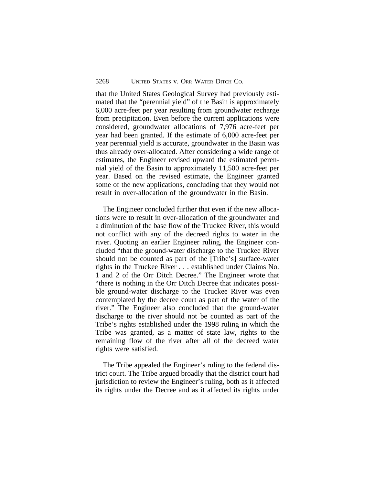that the United States Geological Survey had previously estimated that the "perennial yield" of the Basin is approximately 6,000 acre-feet per year resulting from groundwater recharge from precipitation. Even before the current applications were considered, groundwater allocations of 7,976 acre-feet per year had been granted. If the estimate of 6,000 acre-feet per year perennial yield is accurate, groundwater in the Basin was thus already over-allocated. After considering a wide range of estimates, the Engineer revised upward the estimated perennial yield of the Basin to approximately 11,500 acre-feet per year. Based on the revised estimate, the Engineer granted some of the new applications, concluding that they would not result in over-allocation of the groundwater in the Basin.

The Engineer concluded further that even if the new allocations were to result in over-allocation of the groundwater and a diminution of the base flow of the Truckee River, this would not conflict with any of the decreed rights to water in the river. Quoting an earlier Engineer ruling, the Engineer concluded "that the ground-water discharge to the Truckee River should not be counted as part of the [Tribe's] surface-water rights in the Truckee River . . . established under Claims No. 1 and 2 of the Orr Ditch Decree." The Engineer wrote that "there is nothing in the Orr Ditch Decree that indicates possible ground-water discharge to the Truckee River was even contemplated by the decree court as part of the water of the river." The Engineer also concluded that the ground-water discharge to the river should not be counted as part of the Tribe's rights established under the 1998 ruling in which the Tribe was granted, as a matter of state law, rights to the remaining flow of the river after all of the decreed water rights were satisfied.

The Tribe appealed the Engineer's ruling to the federal district court. The Tribe argued broadly that the district court had jurisdiction to review the Engineer's ruling, both as it affected its rights under the Decree and as it affected its rights under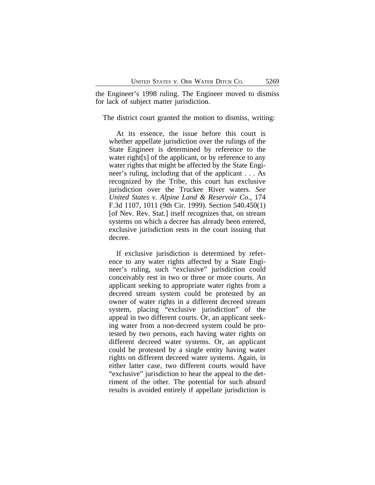the Engineer's 1998 ruling. The Engineer moved to dismiss for lack of subject matter jurisdiction.

The district court granted the motion to dismiss, writing:

At its essence, the issue before this court is whether appellate jurisdiction over the rulings of the State Engineer is determined by reference to the water right[s] of the applicant, or by reference to any water rights that might be affected by the State Engineer's ruling, including that of the applicant . . . As recognized by the Tribe, this court has exclusive jurisdiction over the Truckee River waters. *See United States v. Alpine Land & Reservoir Co*., 174 F.3d 1107, 1011 (9th Cir. 1999). Section 540.450(1) [of Nev. Rev. Stat.] itself recognizes that, on stream systems on which a decree has already been entered, exclusive jurisdiction rests in the court issuing that decree.

If exclusive jurisdiction is determined by reference to any water rights affected by a State Engineer's ruling, such "exclusive" jurisdiction could conceivably rest in two or three or more courts. An applicant seeking to appropriate water rights from a decreed stream system could be protested by an owner of water rights in a different decreed stream system, placing "exclusive jurisdiction" of the appeal in two different courts. Or, an applicant seeking water from a non-decreed system could be protested by two persons, each having water rights on different decreed water systems. Or, an applicant could be protested by a single entity having water rights on different decreed water systems. Again, in either latter case, two different courts would have "exclusive" jurisdiction to hear the appeal to the detriment of the other. The potential for such absurd results is avoided entirely if appellate jurisdiction is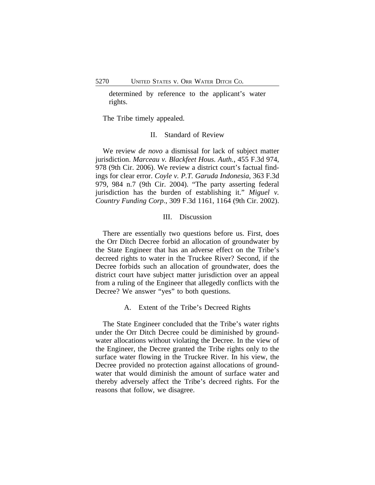determined by reference to the applicant's water rights.

The Tribe timely appealed.

#### II. Standard of Review

We review *de novo* a dismissal for lack of subject matter jurisdiction. *Marceau v. Blackfeet Hous. Auth.*, 455 F.3d 974, 978 (9th Cir. 2006). We review a district court's factual findings for clear error. *Coyle v. P.T. Garuda Indonesia*, 363 F.3d 979, 984 n.7 (9th Cir. 2004). "The party asserting federal jurisdiction has the burden of establishing it." *Miguel v. Country Funding Corp.*, 309 F.3d 1161, 1164 (9th Cir. 2002).

#### III. Discussion

There are essentially two questions before us. First, does the Orr Ditch Decree forbid an allocation of groundwater by the State Engineer that has an adverse effect on the Tribe's decreed rights to water in the Truckee River? Second, if the Decree forbids such an allocation of groundwater, does the district court have subject matter jurisdiction over an appeal from a ruling of the Engineer that allegedly conflicts with the Decree? We answer "yes" to both questions.

#### A. Extent of the Tribe's Decreed Rights

The State Engineer concluded that the Tribe's water rights under the Orr Ditch Decree could be diminished by groundwater allocations without violating the Decree. In the view of the Engineer, the Decree granted the Tribe rights only to the surface water flowing in the Truckee River. In his view, the Decree provided no protection against allocations of groundwater that would diminish the amount of surface water and thereby adversely affect the Tribe's decreed rights. For the reasons that follow, we disagree.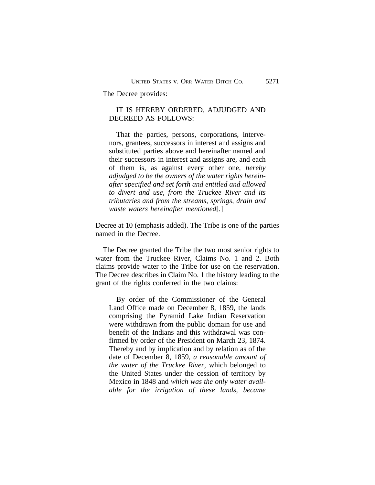The Decree provides:

#### IT IS HEREBY ORDERED, ADJUDGED AND DECREED AS FOLLOWS:

That the parties, persons, corporations, intervenors, grantees, successors in interest and assigns and substituted parties above and hereinafter named and their successors in interest and assigns are, and each of them is, as against every other one, *hereby adjudged to be the owners of the water rights hereinafter specified and set forth and entitled and allowed to divert and use, from the Truckee River and its tributaries and from the streams, springs, drain and waste waters hereinafter mentioned*[.]

Decree at 10 (emphasis added). The Tribe is one of the parties named in the Decree.

The Decree granted the Tribe the two most senior rights to water from the Truckee River, Claims No. 1 and 2. Both claims provide water to the Tribe for use on the reservation. The Decree describes in Claim No. 1 the history leading to the grant of the rights conferred in the two claims:

By order of the Commissioner of the General Land Office made on December 8, 1859, the lands comprising the Pyramid Lake Indian Reservation were withdrawn from the public domain for use and benefit of the Indians and this withdrawal was confirmed by order of the President on March 23, 1874. Thereby and by implication and by relation as of the date of December 8, 1859, *a reasonable amount of the water of the Truckee River,* which belonged to the United States under the cession of territory by Mexico in 1848 and *which was the only water available for the irrigation of these lands, became*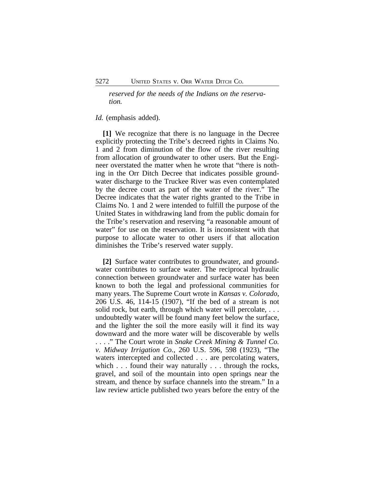*reserved for the needs of the Indians on the reservation.*

#### *Id.* (emphasis added).

**[1]** We recognize that there is no language in the Decree explicitly protecting the Tribe's decreed rights in Claims No. 1 and 2 from diminution of the flow of the river resulting from allocation of groundwater to other users. But the Engineer overstated the matter when he wrote that "there is nothing in the Orr Ditch Decree that indicates possible groundwater discharge to the Truckee River was even contemplated by the decree court as part of the water of the river." The Decree indicates that the water rights granted to the Tribe in Claims No. 1 and 2 were intended to fulfill the purpose of the United States in withdrawing land from the public domain for the Tribe's reservation and reserving "a reasonable amount of water" for use on the reservation. It is inconsistent with that purpose to allocate water to other users if that allocation diminishes the Tribe's reserved water supply.

**[2]** Surface water contributes to groundwater, and groundwater contributes to surface water. The reciprocal hydraulic connection between groundwater and surface water has been known to both the legal and professional communities for many years. The Supreme Court wrote in *Kansas v. Colorado*, 206 U.S. 46, 114-15 (1907), "If the bed of a stream is not solid rock, but earth, through which water will percolate, ... undoubtedly water will be found many feet below the surface, and the lighter the soil the more easily will it find its way downward and the more water will be discoverable by wells . . . ." The Court wrote in *Snake Creek Mining & Tunnel Co. v. Midway Irrigation Co.*, 260 U.S. 596, 598 (1923), "The waters intercepted and collected . . . are percolating waters, which . . . found their way naturally . . . through the rocks, gravel, and soil of the mountain into open springs near the stream, and thence by surface channels into the stream." In a law review article published two years before the entry of the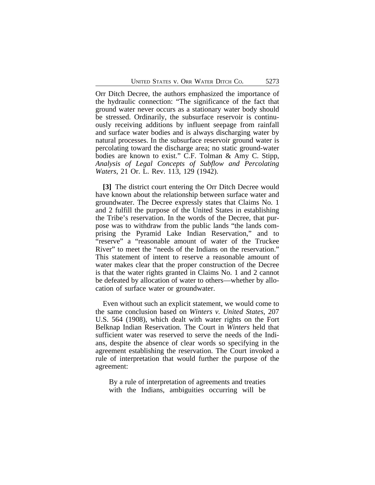Orr Ditch Decree, the authors emphasized the importance of the hydraulic connection: "The significance of the fact that ground water never occurs as a stationary water body should be stressed. Ordinarily, the subsurface reservoir is continuously receiving additions by influent seepage from rainfall and surface water bodies and is always discharging water by natural processes. In the subsurface reservoir ground water is percolating toward the discharge area; no static ground-water bodies are known to exist." C.F. Tolman & Amy C. Stipp, *Analysis of Legal Concepts of Subflow and Percolating Waters*, 21 Or. L. Rev. 113, 129 (1942).

**[3]** The district court entering the Orr Ditch Decree would have known about the relationship between surface water and groundwater. The Decree expressly states that Claims No. 1 and 2 fulfill the purpose of the United States in establishing the Tribe's reservation. In the words of the Decree, that purpose was to withdraw from the public lands "the lands comprising the Pyramid Lake Indian Reservation," and to "reserve" a "reasonable amount of water of the Truckee River" to meet the "needs of the Indians on the reservation." This statement of intent to reserve a reasonable amount of water makes clear that the proper construction of the Decree is that the water rights granted in Claims No. 1 and 2 cannot be defeated by allocation of water to others—whether by allocation of surface water or groundwater.

Even without such an explicit statement, we would come to the same conclusion based on *Winters v. United States*, 207 U.S. 564 (1908), which dealt with water rights on the Fort Belknap Indian Reservation. The Court in *Winters* held that sufficient water was reserved to serve the needs of the Indians, despite the absence of clear words so specifying in the agreement establishing the reservation. The Court invoked a rule of interpretation that would further the purpose of the agreement:

By a rule of interpretation of agreements and treaties with the Indians, ambiguities occurring will be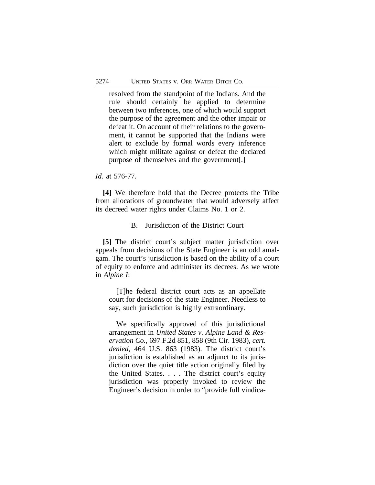resolved from the standpoint of the Indians. And the rule should certainly be applied to determine between two inferences, one of which would support the purpose of the agreement and the other impair or defeat it. On account of their relations to the government, it cannot be supported that the Indians were alert to exclude by formal words every inference which might militate against or defeat the declared purpose of themselves and the government[.]

*Id.* at 576-77.

**[4]** We therefore hold that the Decree protects the Tribe from allocations of groundwater that would adversely affect its decreed water rights under Claims No. 1 or 2.

#### B. Jurisdiction of the District Court

**[5]** The district court's subject matter jurisdiction over appeals from decisions of the State Engineer is an odd amalgam. The court's jurisdiction is based on the ability of a court of equity to enforce and administer its decrees. As we wrote in *Alpine I*:

[T]he federal district court acts as an appellate court for decisions of the state Engineer. Needless to say, such jurisdiction is highly extraordinary.

We specifically approved of this jurisdictional arrangement in *United States v. Alpine Land & Reservation Co.*, 697 F.2d 851, 858 (9th Cir. 1983), *cert. denied*, 464 U.S. 863 (1983). The district court's jurisdiction is established as an adjunct to its jurisdiction over the quiet title action originally filed by the United States. . . . The district court's equity jurisdiction was properly invoked to review the Engineer's decision in order to "provide full vindica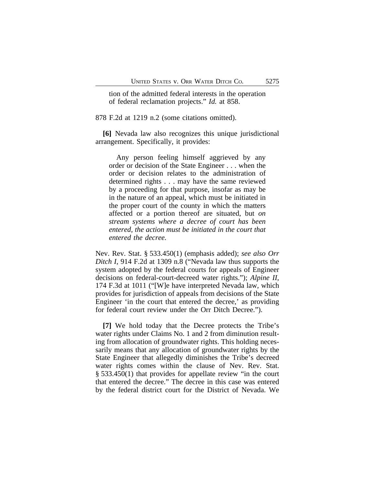tion of the admitted federal interests in the operation of federal reclamation projects." *Id.* at 858.

878 F.2d at 1219 n.2 (some citations omitted).

**[6]** Nevada law also recognizes this unique jurisdictional arrangement. Specifically, it provides:

Any person feeling himself aggrieved by any order or decision of the State Engineer . . . when the order or decision relates to the administration of determined rights . . . may have the same reviewed by a proceeding for that purpose, insofar as may be in the nature of an appeal, which must be initiated in the proper court of the county in which the matters affected or a portion thereof are situated, but *on stream systems where a decree of court has been entered, the action must be initiated in the court that entered the decree.*

Nev. Rev. Stat. § 533.450(1) (emphasis added); *see also Orr Ditch I*, 914 F.2d at 1309 n.8 ("Nevada law thus supports the system adopted by the federal courts for appeals of Engineer decisions on federal-court-decreed water rights."); *Alpine II*, 174 F.3d at 1011 ("[W]e have interpreted Nevada law, which provides for jurisdiction of appeals from decisions of the State Engineer 'in the court that entered the decree,' as providing for federal court review under the Orr Ditch Decree.").

**[7]** We hold today that the Decree protects the Tribe's water rights under Claims No. 1 and 2 from diminution resulting from allocation of groundwater rights. This holding necessarily means that any allocation of groundwater rights by the State Engineer that allegedly diminishes the Tribe's decreed water rights comes within the clause of Nev. Rev. Stat. § 533.450(1) that provides for appellate review "in the court that entered the decree." The decree in this case was entered by the federal district court for the District of Nevada. We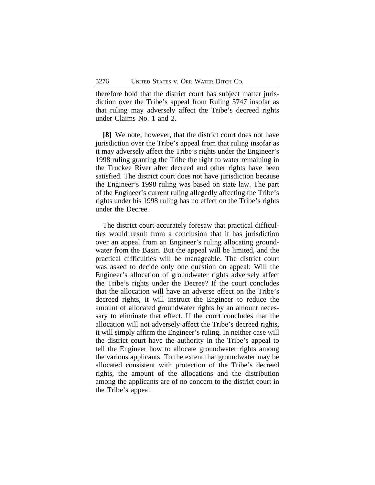therefore hold that the district court has subject matter jurisdiction over the Tribe's appeal from Ruling 5747 insofar as that ruling may adversely affect the Tribe's decreed rights under Claims No. 1 and 2.

**[8]** We note, however, that the district court does not have jurisdiction over the Tribe's appeal from that ruling insofar as it may adversely affect the Tribe's rights under the Engineer's 1998 ruling granting the Tribe the right to water remaining in the Truckee River after decreed and other rights have been satisfied. The district court does not have jurisdiction because the Engineer's 1998 ruling was based on state law. The part of the Engineer's current ruling allegedly affecting the Tribe's rights under his 1998 ruling has no effect on the Tribe's rights under the Decree.

The district court accurately foresaw that practical difficulties would result from a conclusion that it has jurisdiction over an appeal from an Engineer's ruling allocating groundwater from the Basin. But the appeal will be limited, and the practical difficulties will be manageable. The district court was asked to decide only one question on appeal: Will the Engineer's allocation of groundwater rights adversely affect the Tribe's rights under the Decree? If the court concludes that the allocation will have an adverse effect on the Tribe's decreed rights, it will instruct the Engineer to reduce the amount of allocated groundwater rights by an amount necessary to eliminate that effect. If the court concludes that the allocation will not adversely affect the Tribe's decreed rights, it will simply affirm the Engineer's ruling. In neither case will the district court have the authority in the Tribe's appeal to tell the Engineer how to allocate groundwater rights among the various applicants. To the extent that groundwater may be allocated consistent with protection of the Tribe's decreed rights, the amount of the allocations and the distribution among the applicants are of no concern to the district court in the Tribe's appeal.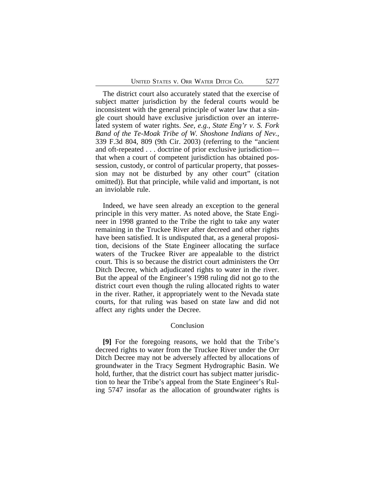The district court also accurately stated that the exercise of subject matter jurisdiction by the federal courts would be inconsistent with the general principle of water law that a single court should have exclusive jurisdiction over an interrelated system of water rights. *See, e.g.*, *State Eng'r v. S. Fork Band of the Te-Moak Tribe of W. Shoshone Indians of Nev.*, 339 F.3d 804, 809 (9th Cir. 2003) (referring to the "ancient and oft-repeated . . . doctrine of prior exclusive jurisdiction that when a court of competent jurisdiction has obtained possession, custody, or control of particular property, that possession may not be disturbed by any other court" (citation omitted)). But that principle, while valid and important, is not an inviolable rule.

Indeed, we have seen already an exception to the general principle in this very matter. As noted above, the State Engineer in 1998 granted to the Tribe the right to take any water remaining in the Truckee River after decreed and other rights have been satisfied. It is undisputed that, as a general proposition, decisions of the State Engineer allocating the surface waters of the Truckee River are appealable to the district court. This is so because the district court administers the Orr Ditch Decree, which adjudicated rights to water in the river. But the appeal of the Engineer's 1998 ruling did not go to the district court even though the ruling allocated rights to water in the river. Rather, it appropriately went to the Nevada state courts, for that ruling was based on state law and did not affect any rights under the Decree.

#### Conclusion

**[9]** For the foregoing reasons, we hold that the Tribe's decreed rights to water from the Truckee River under the Orr Ditch Decree may not be adversely affected by allocations of groundwater in the Tracy Segment Hydrographic Basin. We hold, further, that the district court has subject matter jurisdiction to hear the Tribe's appeal from the State Engineer's Ruling 5747 insofar as the allocation of groundwater rights is